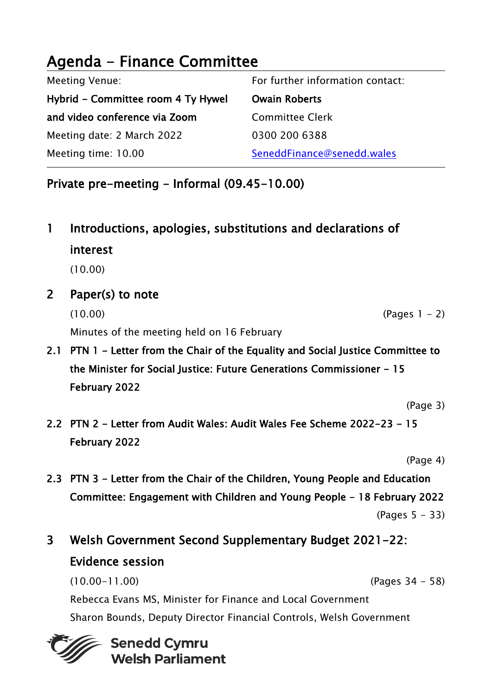# Agenda - Finance Committee

| <b>Meeting Venue:</b>              | For further information contact: |
|------------------------------------|----------------------------------|
| Hybrid – Committee room 4 Ty Hywel | <b>Owain Roberts</b>             |
| and video conference via Zoom      | <b>Committee Clerk</b>           |
| Meeting date: 2 March 2022         | 0300 200 6388                    |
| Meeting time: 10.00                | SeneddFinance@senedd.wales       |

Private pre-meeting - Informal (09.45-10.00)

- 1 Introductions, apologies, substitutions and declarations of interest (10.00)
- 2 Paper(s) to note  $(10.00)$  (Pages 1 – 2) Minutes of the meeting held on 16 February
- 2.1 PTN 1 Letter from the Chair of the Equality and Social Justice Committee to the Minister for Social Justice: Future Generations Commissioner - 15 February 2022
	- (Page 3)
- 2.2 PTN 2 Letter from Audit Wales: Audit Wales Fee Scheme 2022-23 15 February 2022

(Page 4)

- 2.3 PTN 3 Letter from the Chair of the Children, Young People and Education Committee: Engagement with Children and Young People - 18 February 2022 (Pages 5 - 33)
- 3 Welsh Government Second Supplementary Budget 2021-22: Evidence session

(10.00-11.00) (Pages 34 - 58) Rebecca Evans MS, Minister for Finance and Local Government Sharon Bounds, Deputy Director Financial Controls, Welsh Government